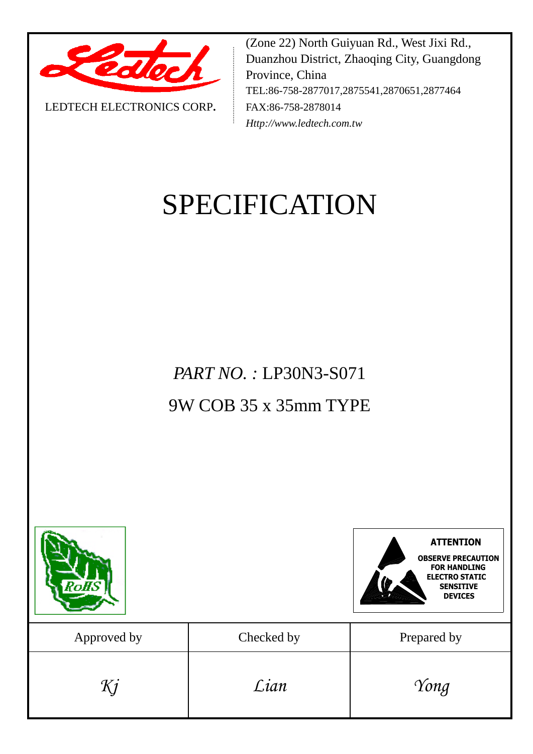

LEDTECH ELECTRONICS CORP**.**

(Zone 22) North Guiyuan Rd., West Jixi Rd., Duanzhou District, Zhaoqing City, Guangdong Province, China TEL:86-758-2877017,2875541,2870651,2877464 FAX:86-758-2878014 *Http://www.ledtech.com.tw*

# SPECIFICATION

*PART NO. :* LP30N3-S071 9W COB 35 x 35mm TYPE

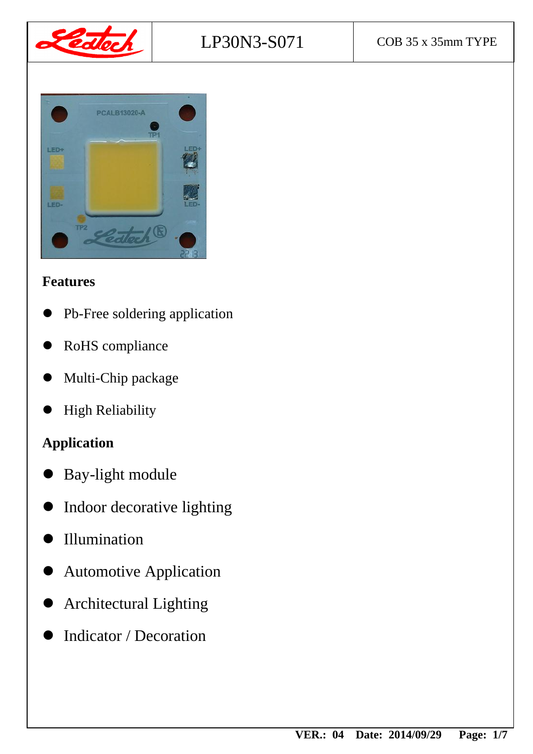



#### **Features**

- Pb-Free soldering application
- RoHS compliance
- Multi-Chip package
- High Reliability

# **Application**

- Bay-light module
- Indoor decorative lighting
- Illumination
- Automotive Application
- Architectural Lighting
- Indicator / Decoration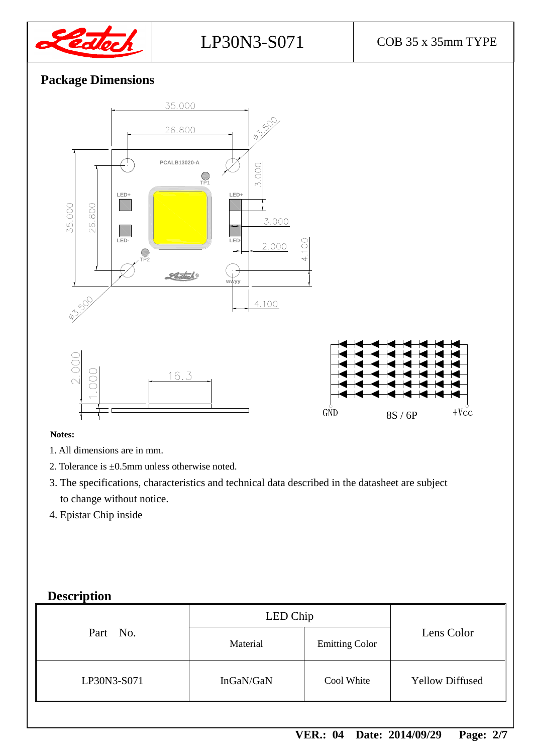

## **Package Dimensions**







#### **Notes:**

- 1. All dimensions are in mm.
- 2. Tolerance is ±0.5mm unless otherwise noted.
- 3. The specifications, characteristics and technical data described in the datasheet are subject to change without notice.
- 4. Epistar Chip inside

#### **Description**

|             | LED Chip  |                       |                        |
|-------------|-----------|-----------------------|------------------------|
| Part No.    | Material  | <b>Emitting Color</b> | Lens Color             |
| LP30N3-S071 | InGaN/GaN | Cool White            | <b>Yellow Diffused</b> |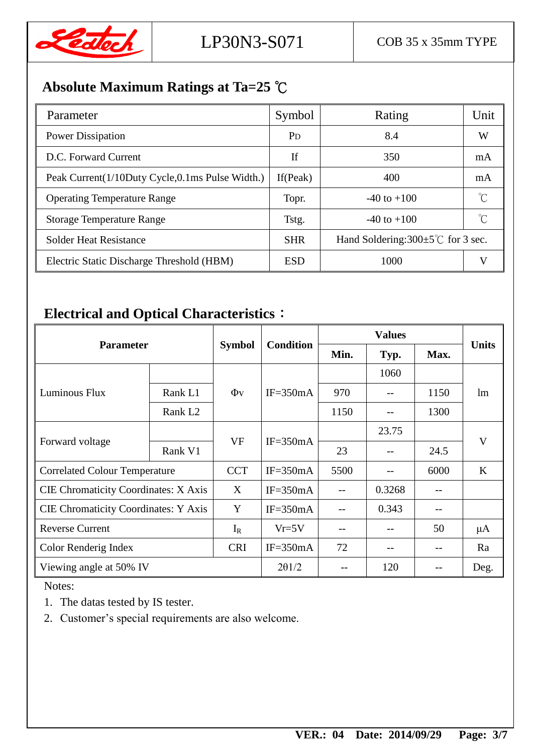

# **Absolute Maximum Ratings at Ta=25** ℃

| Parameter                                       | Symbol                | Rating                                         | Unit |
|-------------------------------------------------|-----------------------|------------------------------------------------|------|
| <b>Power Dissipation</b>                        | <b>P</b> <sub>D</sub> | 8.4                                            | W    |
| D.C. Forward Current                            | If                    | 350                                            | mA   |
| Peak Current(1/10Duty Cycle,0.1ms Pulse Width.) | If $(Peak)$           | 400                                            | mA   |
| <b>Operating Temperature Range</b>              | Topr.                 | $-40$ to $+100$                                |      |
| <b>Storage Temperature Range</b>                | Tstg.                 | $-40$ to $+100$                                |      |
| <b>Solder Heat Resistance</b>                   | <b>SHR</b>            | Hand Soldering: $300 \pm 5^{\circ}$ for 3 sec. |      |
| Electric Static Discharge Threshold (HBM)       | <b>ESD</b>            | 1000                                           |      |

# **Electrical and Optical Characteristics**:

| <b>Parameter</b>                            |                     |               |                  |      |        |      |              |
|---------------------------------------------|---------------------|---------------|------------------|------|--------|------|--------------|
|                                             |                     | <b>Symbol</b> | <b>Condition</b> | Min. | Typ.   | Max. | <b>Units</b> |
|                                             |                     |               |                  |      | 1060   |      |              |
| Luminous Flux                               | Rank L1             | $\Phi$ v      | $IF = 350mA$     | 970  | $-$    | 1150 | lm           |
|                                             | Rank L <sub>2</sub> |               |                  | 1150 | --     | 1300 |              |
| Forward voltage                             |                     |               | $IF = 350mA$     |      | 23.75  |      | V            |
|                                             | Rank V1             | <b>VF</b>     |                  | 23   | --     | 24.5 |              |
| <b>Correlated Colour Temperature</b>        |                     | <b>CCT</b>    | $IF = 350mA$     | 5500 | --     | 6000 | K            |
| CIE Chromaticity Coordinates: X Axis        |                     | X             | $IF = 350mA$     |      | 0.3268 |      |              |
| <b>CIE Chromaticity Coordinates: Y Axis</b> |                     | Y             | $IF = 350mA$     |      | 0.343  |      |              |
| <b>Reverse Current</b>                      |                     | $I_R$         | $Vr=5V$          | $ -$ | $-$    | 50   | $\mu$ A      |
| Color Renderig Index                        |                     | <b>CRI</b>    | $IF = 350mA$     | 72   | --     |      | Ra           |
| Viewing angle at 50% IV                     |                     | $2\theta$ 1/2 |                  | 120  |        | Deg. |              |

Notes:

1. The datas tested by IS tester.

2. Customer's special requirements are also welcome.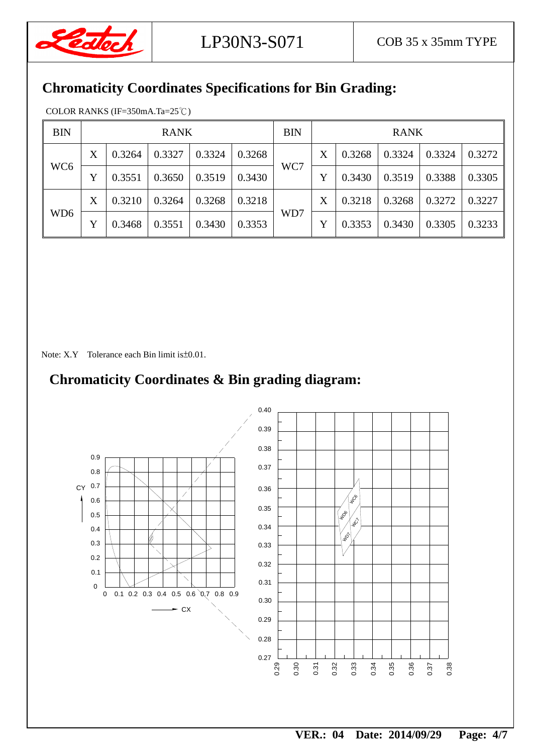

## **Chromaticity Coordinates Specifications for Bin Grading:**

COLOR RANKS (IF=350mA.Ta=25℃)

| <b>BIN</b>      |   |        | <b>RANK</b> |        |        | <b>BIN</b> | <b>RANK</b> |        |        |        |        |
|-----------------|---|--------|-------------|--------|--------|------------|-------------|--------|--------|--------|--------|
| WC <sub>6</sub> | X | 0.3264 | 0.3327      | 0.3324 | 0.3268 | WC7        | X           | 0.3268 | 0.3324 | 0.3324 | 0.3272 |
|                 |   | 0.3551 | 0.3650      | 0.3519 | 0.3430 |            | Y           | 0.3430 | 0.3519 | 0.3388 | 0.3305 |
| WD <sub>6</sub> | X | 0.3210 | 0.3264      | 0.3268 | 0.3218 | WD7        | X           | 0.3218 | 0.3268 | 0.3272 | 0.3227 |
|                 | Y | 0.3468 | 0.3551      | 0.3430 | 0.3353 |            | Y           | 0.3353 | 0.3430 | 0.3305 | 0.3233 |

Note: X.Y Tolerance each Bin limit is ± 0.01.

## **Chromaticity Coordinates & Bin grading diagram:**

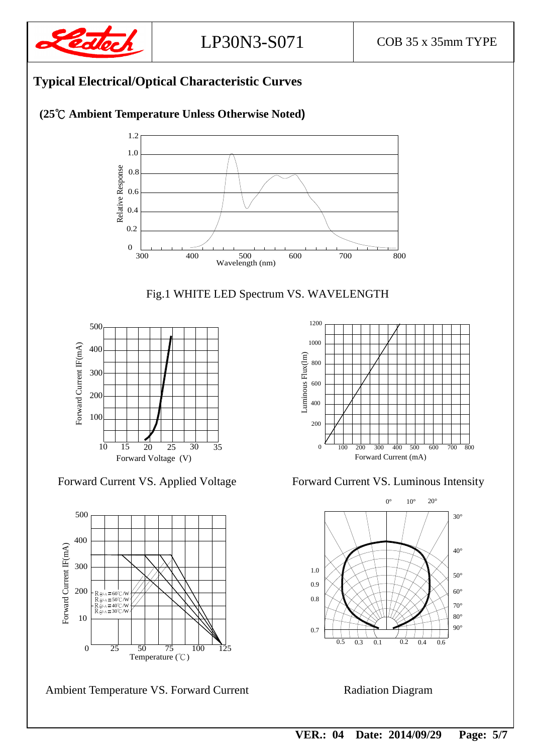

## **Typical Electrical/Optical Characteristic Curves**

#### **(25**℃ **Ambient Temperature Unless Otherwise Noted)**









Ambient Temperature VS. Forward Current Radiation Diagram



Forward Current VS. Applied Voltage Forward Current VS. Luminous Intensity

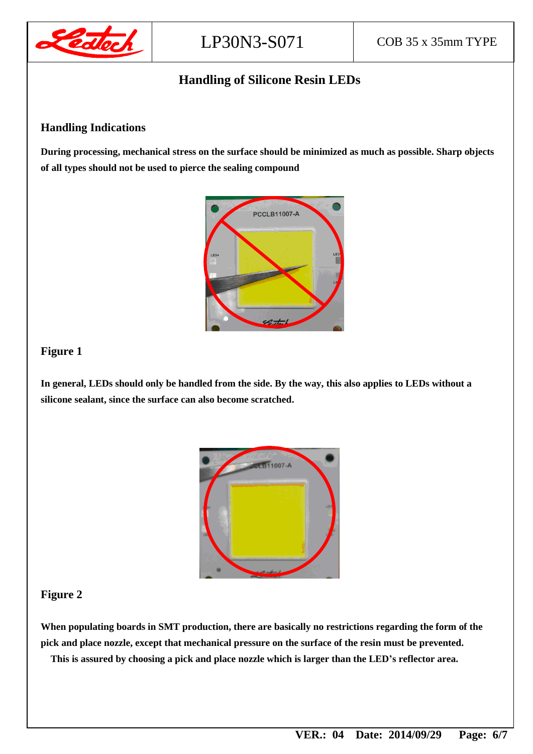

#### **Handling of Silicone Resin LEDs**

#### **Handling Indications**

**During processing, mechanical stress on the surface should be minimized as much as possible. Sharp objects of all types should not be used to pierce the sealing compound**



#### **Figure 1**

**In general, LEDs should only be handled from the side. By the way, this also applies to LEDs without a silicone sealant, since the surface can also become scratched.**



#### **Figure 2**

**When populating boards in SMT production, there are basically no restrictions regarding the form of the pick and place nozzle, except that mechanical pressure on the surface of the resin must be prevented. This is assured by choosing a pick and place nozzle which is larger than the LED's reflector area.**